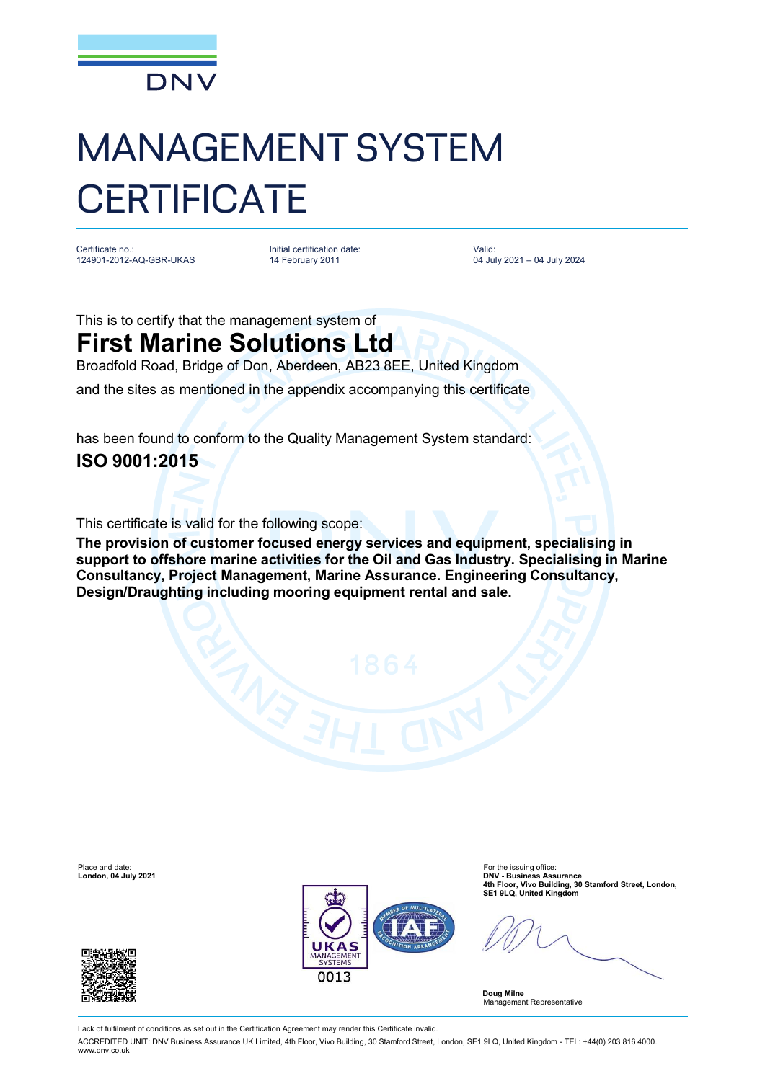

## MANAGEMENT SYSTEM **CERTIFICATE**

Certificate no.: 124901-2012-AQ-GBR-UKAS Initial certification date: 14 February 2011

Valid: 04 July 2021 – 04 July 2024

This is to certify that the management system of **First Marine Solutions Ltd**

Broadfold Road, Bridge of Don, Aberdeen, AB23 8EE, United Kingdom and the sites as mentioned in the appendix accompanying this certificate

has been found to conform to the Quality Management System standard: **ISO 9001:2015**

This certificate is valid for the following scope:

**The provision of customer focused energy services and equipment, specialising in support to offshore marine activities for the Oil and Gas Industry. Specialising in Marine Consultancy, Project Management, Marine Assurance. Engineering Consultancy, Design/Draughting including mooring equipment rental and sale.**

Place and date: For the issuing office: For the issuing office: For the issuing office: For the issuing office:  $\blacksquare$ 





DNV - Business Assurance<br>4th Floor, Vivo Building, 30 Stamford Street, London,<br>SE1 9LQ, United Kingdom (Integration) SE1 9LQ, United Kingdom

**Doug Milne** Management Representative

Lack of fulfilment of conditions as set out in the Certification Agreement may render this Certificate invalid.

ACCREDITED UNIT: DNV Business Assurance UK Limited, 4th Floor, Vivo Building, 30 Stamford Street, London, SE1 9LQ, United Kingdom - TEL: +44(0) 203 816 4000. [www.dnv.co.uk](http://www.dnv.co.uk)